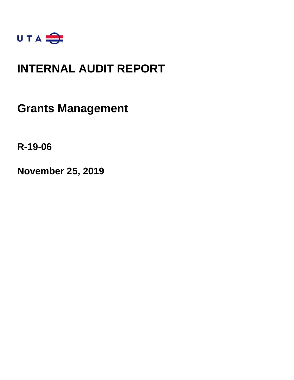

### **INTERNAL AUDIT REPORT**

### **Grants Management**

**R-19-06** 

**November 25, 2019**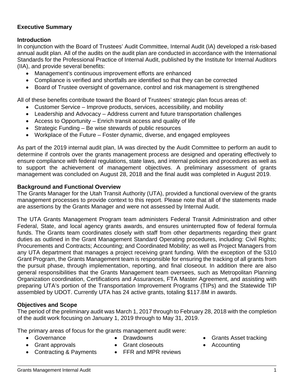### **Executive Summary**

#### **Introduction**

In conjunction with the Board of Trustees' Audit Committee, Internal Audit (IA) developed a risk-based annual audit plan. All of the audits on the audit plan are conducted in accordance with the International Standards for the Professional Practice of Internal Audit, published by the Institute for Internal Auditors (IIA), and provide several benefits:

- Management's continuous improvement efforts are enhanced
- Compliance is verified and shortfalls are identified so that they can be corrected
- Board of Trustee oversight of governance, control and risk management is strengthened

All of these benefits contribute toward the Board of Trustees' strategic plan focus areas of:

- Customer Service Improve products, services, accessibility, and mobility
- Leadership and Advocacy Address current and future transportation challenges
- Access to Opportunity Enrich transit access and quality of life
- Strategic Funding Be wise stewards of public resources
- Workplace of the Future Foster dynamic, diverse, and engaged employees

As part of the 2019 internal audit plan, IA was directed by the Audit Committee to perform an audit to determine if controls over the grants management process are designed and operating effectively to ensure compliance with federal regulations, state laws, and internal policies and procedures as well as to support the achievement of management objectives. A preliminary assessment of grants management was concluded on August 28, 2018 and the final audit was completed in August 2019.

#### **Background and Functional Overview**

The Grants Manager for the Utah Transit Authority (UTA), provided a functional overview of the grants management processes to provide context to this report. Please note that all of the statements made are assertions by the Grants Manager and were not assessed by Internal Audit.

The UTA Grants Management Program team administers Federal Transit Administration and other Federal, State, and local agency grants awards, and ensures uninterrupted flow of federal formula funds. The Grants team coordinates closely with staff from other departments regarding their grant duties as outlined in the Grant Management Standard Operating procedures, including: Civil Rights; Procurements and Contracts; Accounting; and Coordinated Mobility; as well as Project Managers from any UTA department that manages a project receiving grant funding. With the exception of the 5310 Grant Program, the Grants Management team is responsible for ensuring the tracking of all grants from the pursuit phase, through implementation, reporting, and final closeout. In addition there are also general responsibilities that the Grants Management team oversees, such as Metropolitan Planning Organization coordination, Certifications and Assurances, FTA Master Agreement, and assisting with preparing UTA's portion of the Transportation Improvement Programs (TIPs) and the Statewide TIP assembled by UDOT. Currently UTA has 24 active grants, totaling \$117.8M in awards.

### **Objectives and Scope**

The period of the preliminary audit was March 1, 2017 through to February 28, 2018 with the completion of the audit work focusing on January 1, 2019 through to May 31, 2019.

The primary areas of focus for the grants management audit were:

- Governance
- Drawdowns Grant closeouts
- Grant approvals
- FFR and MPR reviews
- Grants Asset tracking
- Accounting

• Contracting & Payments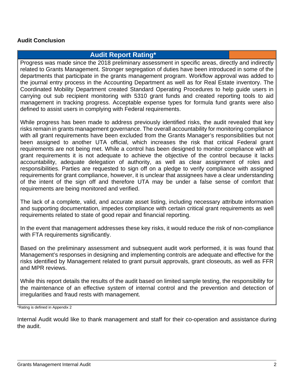### **Audit Conclusion**

### **Audit Report Rating\***

Progress was made since the 2018 preliminary assessment in specific areas, directly and indirectly related to Grants Management. Stronger segregation of duties have been introduced in some of the departments that participate in the grants management program. Workflow approval was added to the journal entry process in the Accounting Department as well as for Real Estate inventory. The Coordinated Mobility Department created Standard Operating Procedures to help guide users in carrying out sub recipient monitoring with 5310 grant funds and created reporting tools to aid management in tracking progress. Acceptable expense types for formula fund grants were also defined to assist users in complying with Federal requirements.

While progress has been made to address previously identified risks, the audit revealed that key risks remain in grants management governance. The overall accountability for monitoring compliance with all grant requirements have been excluded from the Grants Manager's responsibilities but not been assigned to another UTA official, which increases the risk that critical Federal grant requirements are not being met. While a control has been designed to monitor compliance with all grant requirements it is not adequate to achieve the objective of the control because it lacks accountability, adequate delegation of authority, as well as clear assignment of roles and responsibilities. Parties are requested to sign off on a pledge to verify compliance with assigned requirements for grant compliance, however, it is unclear that assignees have a clear understanding of the intent of the sign off and therefore UTA may be under a false sense of comfort that requirements are being monitored and verified.

The lack of a complete, valid, and accurate asset listing, including necessary attribute information and supporting documentation, impedes compliance with certain critical grant requirements as well requirements related to state of good repair and financial reporting.

In the event that management addresses these key risks, it would reduce the risk of non-compliance with FTA requirements significantly.

Based on the preliminary assessment and subsequent audit work performed, it is was found that Management's responses in designing and implementing controls are adequate and effective for the risks identified by Management related to grant pursuit approvals, grant closeouts, as well as FFR and MPR reviews.

While this report details the results of the audit based on limited sample testing, the responsibility for the maintenance of an effective system of internal control and the prevention and detection of irregularities and fraud rests with management.

\*Rating is defined in Appendix 2

Internal Audit would like to thank management and staff for their co-operation and assistance during the audit.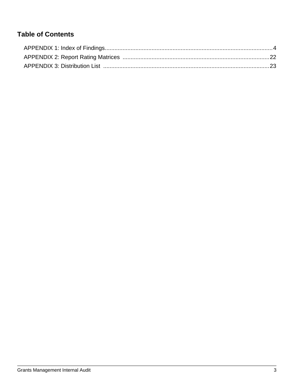### **Table of Contents**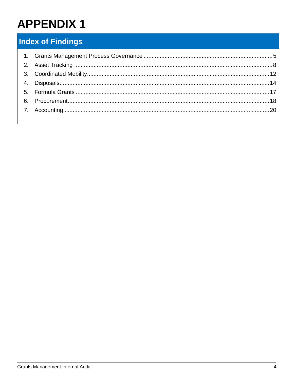### **Index of Findings**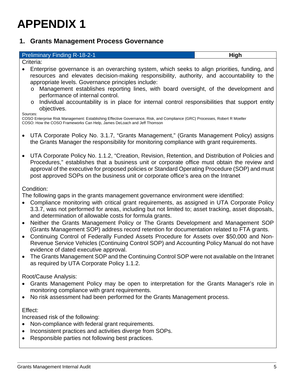### **1. Grants Management Process Governance**

| <b>Preliminary Finding R-18-2-1</b>                                                                                                                                                                                                                                                                                                                                                                                                                                                                     | High |
|---------------------------------------------------------------------------------------------------------------------------------------------------------------------------------------------------------------------------------------------------------------------------------------------------------------------------------------------------------------------------------------------------------------------------------------------------------------------------------------------------------|------|
| Criteria:                                                                                                                                                                                                                                                                                                                                                                                                                                                                                               |      |
| Enterprise governance is an overarching system, which seeks to align priorities, funding, and<br>resources and elevates decision-making responsibility, authority, and accountability to the<br>appropriate levels. Governance principles include:<br>Management establishes reporting lines, with board oversight, of the development and<br>$\circ$<br>performance of internal control.<br>Individual accountability is in place for internal control responsibilities that support entity<br>$\circ$ |      |
| objectives.<br>Sources:<br>COSO Enterprise Risk Management: Establishing Effective Governance, Risk, and Compliance (GRC) Processes, Robert R Moeller<br>COSO: How the COSO Frameworks Can Help, James DeLoach and Jeff Thomson                                                                                                                                                                                                                                                                         |      |
| UTA Corporate Policy No. 3.1.7, "Grants Management," (Grants Management Policy) assigns<br>the Grants Manager the responsibility for monitoring compliance with grant requirements.                                                                                                                                                                                                                                                                                                                     |      |
| UTA Corporate Policy No. 1.1.2, "Creation, Revision, Retention, and Distribution of Policies and<br>Procedures," establishes that a business unit or corporate office must obtain the review and<br>approval of the executive for proposed policies or Standard Operating Procedure (SOP) and must<br>post approved SOPs on the business unit or corporate office's area on the Intranet                                                                                                                |      |
| Condition:<br>The following gaps in the grants management governance environment were identified:<br>그 그 사람들은 그 사람들은 그 사람들을 지르며 그 사람들을 사용하고 있다. 그 사람들은 그 사람들은 그 사람들을 지르며 그 사람들을 지르며 그 사람들을 지르며 그 사람들을 지르며 그 사람들을 지르며 그 사람들을 지르며 그 사람들을 지르며 그 사람들을 지르며 그 사람들을 지르며 그 사람들을 지르며 그 사람들을 지르며 그 사람들을 지르며 그 사람들을 지르며 그 사람들을 지르며 그 사람들을 지르며                                                                                                                                                                      |      |

- Compliance monitoring with critical grant requirements, as assigned in UTA Corporate Policy 3.3.7, was not performed for areas, including but not limited to; asset tracking, asset disposals, and determination of allowable costs for formula grants.
- Neither the Grants Management Policy or The Grants Development and Management SOP (Grants Management SOP) address record retention for documentation related to FTA grants.
- Continuing Control of Federally Funded Assets Procedure for Assets over \$50,000 and Non-Revenue Service Vehicles (Continuing Control SOP) and Accounting Policy Manual do not have evidence of dated executive approval.
- The Grants Management SOP and the Continuing Control SOP were not available on the Intranet as required by UTA Corporate Policy 1.1.2.

Root/Cause Analysis:

- Grants Management Policy may be open to interpretation for the Grants Manager's role in monitoring compliance with grant requirements.
- No risk assessment had been performed for the Grants Management process.

#### Effect:

Increased risk of the following:

- Non-compliance with federal grant requirements.
- Inconsistent practices and activities diverge from SOPs.
- Responsible parties not following best practices.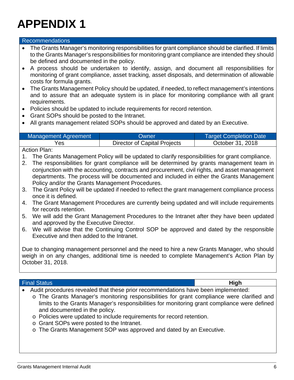#### Recommendations

- The Grants Manager's monitoring responsibilities for grant compliance should be clarified. If limits to the Grants Manager's responsibilities for monitoring grant compliance are intended they should be defined and documented in the policy.
- A process should be undertaken to identify, assign, and document all responsibilities for monitoring of grant compliance, asset tracking, asset disposals, and determination of allowable costs for formula grants.
- The Grants Management Policy should be updated, if needed, to reflect management's intentions and to assure that an adequate system is in place for monitoring compliance with all grant requirements.
- Policies should be updated to include requirements for record retention.
- Grant SOPs should be posted to the Intranet.
- All grants management related SOPs should be approved and dated by an Executive.

| Management Agreement | Owner                        | <b>Target Completion Date</b> |
|----------------------|------------------------------|-------------------------------|
| Yes                  | Director of Capital Projects | October 31, 2018              |

#### Action Plan:

- 1. The Grants Management Policy will be updated to clarify responsibilities for grant compliance.
- 2. The responsibilities for grant compliance will be determined by grants management team in conjunction with the accounting, contracts and procurement, civil rights, and asset management departments. The process will be documented and included in either the Grants Management Policy and/or the Grants Management Procedures.
- 3. The Grant Policy will be updated if needed to reflect the grant management compliance process once it is defined.
- 4. The Grant Management Procedures are currently being updated and will include requirements for records retention.
- 5. We will add the Grant Management Procedures to the Intranet after they have been updated and approved by the Executive Director.
- 6. We will advise that the Continuing Control SOP be approved and dated by the responsible Executive and then added to the Intranet.

Due to changing management personnel and the need to hire a new Grants Manager, who should weigh in on any changes, additional time is needed to complete Management's Action Plan by October 31, 2018.

#### Final Status **High**

- Audit procedures revealed that these prior recommendations have been implemented:
	- o The Grants Manager's monitoring responsibilities for grant compliance were clarified and limits to the Grants Manager's responsibilities for monitoring grant compliance were defined and documented in the policy.
	- o Policies were updated to include requirements for record retention.
	- o Grant SOPs were posted to the Intranet.
	- o The Grants Management SOP was approved and dated by an Executive.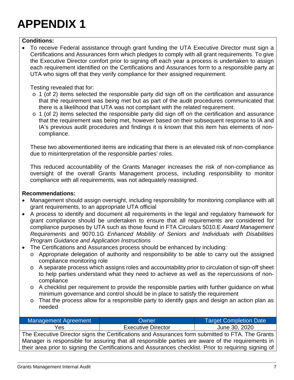#### **Conditions:**

 To receive Federal assistance through grant funding the UTA Executive Director must sign a Certifications and Assurances form which pledges to comply with all grant requirements. To give the Executive Director comfort prior to signing off each year a process is undertaken to assign each requirement identified on the Certifications and Assurances form to a responsible party at UTA who signs off that they verify compliance for their assigned requirement.

#### Testing revealed that for:

- $\circ$  1 (of 2) items selected the responsible party did sign off on the certification and assurance that the requirement was being met but as part of the audit procedures communicated that there is a likelihood that UTA was not compliant with the related requirement.
- o 1 (of 2) items selected the responsible party did sign off on the certification and assurance that the requirement was being met, however based on their subsequent response to IA and IA's previous audit procedures and findings it is known that this item has elements of noncompliance.

These two abovementioned items are indicating that there is an elevated risk of non-compliance due to misinterpretation of the responsible parties' roles.

This reduced accountability of the Grants Manager increases the risk of non-compliance as oversight of the overall Grants Management process, including responsibility to monitor compliance with all requirements, was not adequately reassigned.

#### **Recommendations:**

- Management should assign oversight, including responsibility for monitoring compliance with all grant requirements, to an appropriate UTA official
- A process to identify and document all requirements in the legal and regulatory framework for grant compliance should be undertaken to ensure that all requirements are considered for compliance purposes by UTA such as those found in FTA Circulars 5010.E *Award Management Requirements* and 9070.1G *Enhanced Mobility of Seniors and Individuals with Disabilities Program Guidance and Application Instructions*
- The Certifications and Assurances process should be enhanced by including:
	- o Appropriate delegation of authority and responsibility to be able to carry out the assigned compliance monitoring role
	- o A separate process which assigns roles and accountability prior to circulation of sign-off sheet to help parties understand what they need to achieve as well as the repercussions of noncompliance
	- o A checklist per requirement to provide the responsible parties with further guidance on what minimum governance and control should be in place to satisfy the requirement
	- o That the process allow for a responsible party to identify gaps and design an action plan as needed

| <b>Management Agreement</b>                                                                            | Owner                     | <b>Target Completion Date</b> |
|--------------------------------------------------------------------------------------------------------|---------------------------|-------------------------------|
| Yes                                                                                                    | <b>Executive Director</b> | June 30, 2020                 |
| The Executive Director signs the Certifications and Assurances form submitted to FTA. The Grants       |                           |                               |
| Manager is responsible for assuring that all responsible parties are aware of the requirements in      |                           |                               |
| their area prior to signing the Certifications and Assurances checklist. Prior to requiring signing of |                           |                               |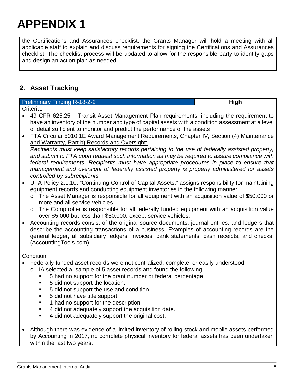the Certifications and Assurances checklist, the Grants Manager will hold a meeting with all applicable staff to explain and discuss requirements for signing the Certifications and Assurances checklist. The checklist process will be updated to allow for the responsible party to identify gaps and design an action plan as needed.

### **2. Asset Tracking**

#### **Preliminary Finding R-18-2-2 High High High** Criteria:

- 49 CFR 625.25 Transit Asset Management Plan requirements, including the requirement to have an inventory of the number and type of capital assets with a condition assessment at a level of detail sufficient to monitor and predict the performance of the assets
- FTA Circular 5010.1E Award Management Requirements, Chapter IV, Section (4) Maintenance and Warranty, Part b) Records and Oversight: *Recipients must keep satisfactory records pertaining to the use of federally assisted property, and submit to FTA upon request such information as may be required to assure compliance with federal requirements. Recipients must have appropriate procedures in place to ensure that management and oversight of federally assisted property is properly administered for assets controlled by subrecipients*
- UTA Policy 2.1.10, "Continuing Control of Capital Assets," assigns responsibility for maintaining equipment records and conducting equipment inventories in the following manner:
	- o The Asset Manager is responsible for all equipment with an acquisition value of \$50,000 or more and all service vehicles.
	- o The Comptroller is responsible for all federally funded equipment with an acquisition value over \$5,000 but less than \$50,000, except service vehicles.
- Accounting records consist of the original source documents, journal entries, and ledgers that describe the accounting transactions of a business. Examples of accounting records are the general ledger, all subsidiary ledgers, invoices, bank statements, cash receipts, and checks. (AccountingTools.com)

Condition:

- Federally funded asset records were not centralized, complete, or easily understood.
	- o IA selected a sample of 5 asset records and found the following:
		- 5 had no support for the grant number or federal percentage.
		- 5 did not support the location.
		- 5 did not support the use and condition.
		- 5 did not have title support.
		- **1** had no support for the description.
		- 4 did not adequately support the acquisition date.
		- 4 did not adequately support the original cost.
- Although there was evidence of a limited inventory of rolling stock and mobile assets performed by Accounting in 2017, no complete physical inventory for federal assets has been undertaken within the last two years.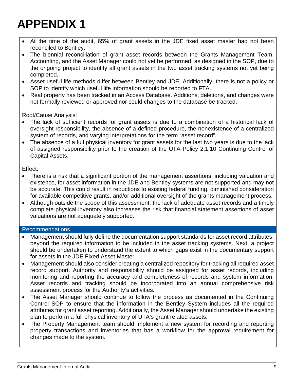- At the time of the audit, 65% of grant assets in the JDE fixed asset master had not been reconciled to Bentley.
- The biennial reconciliation of grant asset records between the Grants Management Team, Accounting, and the Asset Manager could not yet be performed, as designed in the SOP, due to the ongoing project to identify all grant assets in the two asset tracking systems not yet being completed.
- Asset useful life methods differ between Bentley and JDE. Additionally, there is not a policy or SOP to identify which useful life information should be reported to FTA.
- Real property has been tracked in an Access Database. Additions, deletions, and changes were not formally reviewed or approved nor could changes to the database be tracked.

Root/Cause Analysis:

- The lack of sufficient records for grant assets is due to a combination of a historical lack of oversight responsibility, the absence of a defined procedure, the nonexistence of a centralized system of records, and varying interpretations for the term "asset record".
- The absence of a full physical inventory for grant assets for the last two years is due to the lack of assigned responsibility prior to the creation of the UTA Policy 2.1.10 Continuing Control of Capital Assets.

Effect:

- There is a risk that a significant portion of the management assertions, including valuation and existence, for asset information in the JDE and Bentley systems are not supported and may not be accurate. This could result in reductions to existing federal funding, diminished consideration for available competitive grants, and/or additional oversight of the grants management process.
- Although outside the scope of this assessment, the lack of adequate asset records and a timely complete physical inventory also increases the risk that financial statement assertions of asset valuations are not adequately supported.

### Recommendations

- Management should fully define the documentation support standards for asset record attributes, beyond the required information to be included in the asset tracking systems. Next, a project should be undertaken to understand the extent to which gaps exist in the documentary support for assets in the JDE Fixed Asset Master.
- Management should also consider creating a centralized repository for tracking all required asset record support. Authority and responsibility should be assigned for asset records, including monitoring and reporting the accuracy and completeness of records and system information. Asset records and tracking should be incorporated into an annual comprehensive risk assessment process for the Authority's activities.
- The Asset Manager should continue to follow the process as documented in the Continuing Control SOP to ensure that the information in the Bentley System includes all the required attributes for grant asset reporting. Additionally, the Asset Manager should undertake the existing plan to perform a full physical inventory of UTA's grant related assets.
- The Property Management team should implement a new system for recording and reporting property transactions and inventories that has a workflow for the approval requirement for changes made to the system.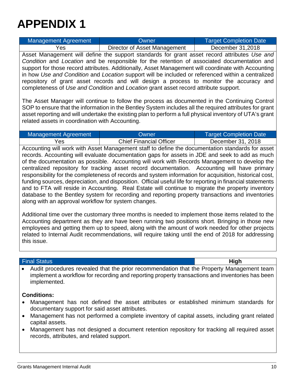| <b>Management Agreement</b>                                                                                                                                                                                                                                                                                                                                             | Owner                                                                                               | <b>Target Completion Date</b> |
|-------------------------------------------------------------------------------------------------------------------------------------------------------------------------------------------------------------------------------------------------------------------------------------------------------------------------------------------------------------------------|-----------------------------------------------------------------------------------------------------|-------------------------------|
| Yes                                                                                                                                                                                                                                                                                                                                                                     | Director of Asset Management                                                                        | December 31,2018              |
|                                                                                                                                                                                                                                                                                                                                                                         | Asset Management will define the support standards for grant asset record attributes Use and        |                               |
|                                                                                                                                                                                                                                                                                                                                                                         | Condition and Location and be responsible for the retention of associated documentation and         |                               |
|                                                                                                                                                                                                                                                                                                                                                                         | support for those record attributes. Additionally, Asset Management will coordinate with Accounting |                               |
|                                                                                                                                                                                                                                                                                                                                                                         | in how Use and Condition and Location support will be included or referenced within a centralized   |                               |
| repository of grant asset records and will design a process to monitor the accuracy and                                                                                                                                                                                                                                                                                 |                                                                                                     |                               |
| completeness of Use and Condition and Location grant asset record attribute support.                                                                                                                                                                                                                                                                                    |                                                                                                     |                               |
| The Asset Manager will continue to follow the process as documented in the Continuing Control<br>SOP to ensure that the information in the Bentley System includes all the required attributes for grant<br>asset reporting and will undertake the existing plan to perform a full physical inventory of UTA's grant<br>related assets in coordination with Accounting. |                                                                                                     |                               |

| Management Agreement | <b>Owner</b>                   | <b>Target Completion Date</b> |
|----------------------|--------------------------------|-------------------------------|
| Yes                  | <b>Chief Financial Officer</b> | December 31, 2018             |

Accounting will work with Asset Management staff to define the documentation standards for asset records. Accounting will evaluate documentation gaps for assets in JDE and seek to add as much of the documentation as possible. Accounting will work with Records Management to develop the centralized repository for tracking asset record documentation. Accounting will have primary responsibility for the completeness of records and system information for acquisition, historical cost, funding sources, depreciation, and disposition. Official useful life for reporting in financial statements and to FTA will reside in Accounting. Real Estate will continue to migrate the property inventory database to the Bentley system for recording and reporting property transactions and inventories along with an approval workflow for system changes.

Additional time over the customary three months is needed to implement those items related to the Accounting department as they are have been running two positions short. Bringing in those new employees and getting them up to speed, along with the amount of work needed for other projects related to Internal Audit recommendations, will require taking until the end of 2018 for addressing this issue.

#### Final Status **High**

 Audit procedures revealed that the prior recommendation that the Property Management team implement a workflow for recording and reporting property transactions and inventories has been implemented.

### **Conditions:**

- Management has not defined the asset attributes or established minimum standards for documentary support for said asset attributes.
- Management has not performed a complete inventory of capital assets, including grant related capital assets.
- Management has not designed a document retention repository for tracking all required asset records, attributes, and related support.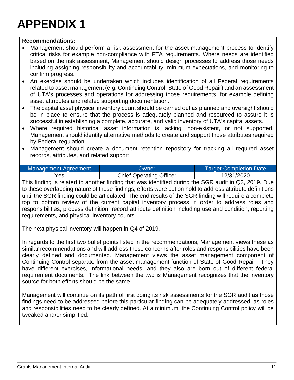#### **Recommendations:**

- Management should perform a risk assessment for the asset management process to identify critical risks for example non-compliance with FTA requirements. Where needs are identified based on the risk assessment, Management should design processes to address those needs including assigning responsibility and accountability, minimum expectations, and monitoring to confirm progress.
- An exercise should be undertaken which includes identification of all Federal requirements related to asset management (e.g. Continuing Control, State of Good Repair) and an assessment of UTA's processes and operations for addressing those requirements, for example defining asset attributes and related supporting documentation.
- The capital asset physical inventory count should be carried out as planned and oversight should be in place to ensure that the process is adequately planned and resourced to assure it is successful in establishing a complete, accurate, and valid inventory of UTA's capital assets.
- Where required historical asset information is lacking, non-existent, or not supported, Management should identify alternative methods to create and support those attributes required by Federal regulation.
- Management should create a document retention repository for tracking all required asset records, attributes, and related support.

| Management Agreement | Owner                          | <b>Target Completion Date</b> |
|----------------------|--------------------------------|-------------------------------|
| Yes                  | <b>Chief Operating Officer</b> | 12/31/2020                    |

This finding is related to another finding that was identified during the SGR audit in Q3, 2019. Due to these overlapping nature of these findings, efforts were put on hold to address attribute definitions until the SGR finding could be articulated. The end results of the SGR finding will require a complete top to bottom review of the current capital inventory process in order to address roles and responsibilities, process definition, record attribute definition including use and condition, reporting requirements, and physical inventory counts.

The next physical inventory will happen in Q4 of 2019.

In regards to the first two bullet points listed in the recommendations, Management views these as similar recommendations and will address these concerns after roles and responsibilities have been clearly defined and documented. Management views the asset management component of Continuing Control separate from the asset management function of State of Good Repair. They have different exercises, informational needs, and they also are born out of different federal requirement documents. The link between the two is Management recognizes that the inventory source for both efforts should be the same.

Management will continue on its path of first doing its risk assessments for the SGR audit as those findings need to be addressed before this particular finding can be adequately addressed, as roles and responsibilities need to be clearly defined. At a minimum, the Continuing Control policy will be tweaked and/or simplified.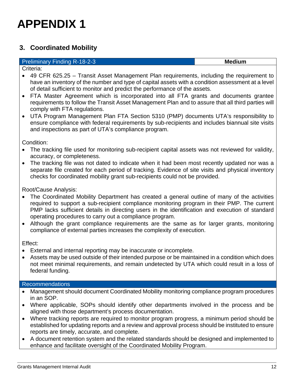### **3. Coordinated Mobility**

### **Preliminary Finding R-18-2-3 Medium Medium Medium**

Criteria:

- 49 CFR 625.25 Transit Asset Management Plan requirements, including the requirement to have an inventory of the number and type of capital assets with a condition assessment at a level of detail sufficient to monitor and predict the performance of the assets.
- FTA Master Agreement which is incorporated into all FTA grants and documents grantee requirements to follow the Transit Asset Management Plan and to assure that all third parties will comply with FTA regulations.
- UTA Program Management Plan FTA Section 5310 (PMP) documents UTA's responsibility to ensure compliance with federal requirements by sub-recipients and includes biannual site visits and inspections as part of UTA's compliance program.

Condition:

- The tracking file used for monitoring sub-recipient capital assets was not reviewed for validity, accuracy, or completeness.
- The tracking file was not dated to indicate when it had been most recently updated nor was a separate file created for each period of tracking. Evidence of site visits and physical inventory checks for coordinated mobility grant sub-recipients could not be provided.

Root/Cause Analysis:

- The Coordinated Mobility Department has created a general outline of many of the activities required to support a sub-recipient compliance monitoring program in their PMP. The current PMP lacks sufficient details in directing users in the identification and execution of standard operating procedures to carry out a compliance program.
- Although the grant compliance requirements are the same as for larger grants, monitoring compliance of external parties increases the complexity of execution.

Effect:

- External and internal reporting may be inaccurate or incomplete.
- Assets may be used outside of their intended purpose or be maintained in a condition which does not meet minimal requirements, and remain undetected by UTA which could result in a loss of federal funding.

### Recommendations

- Management should document Coordinated Mobility monitoring compliance program procedures in an SOP.
- Where applicable, SOPs should identify other departments involved in the process and be aligned with those department's process documentation.
- Where tracking reports are required to monitor program progress, a minimum period should be established for updating reports and a review and approval process should be instituted to ensure reports are timely, accurate, and complete.
- A document retention system and the related standards should be designed and implemented to enhance and facilitate oversight of the Coordinated Mobility Program.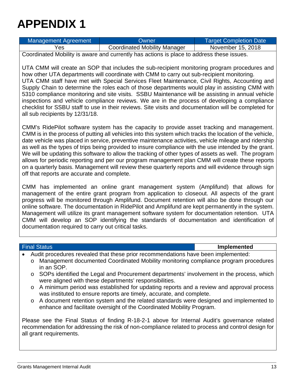| Management Agreement | <b>Owner</b>                        | <b>Target Completion Date</b> |
|----------------------|-------------------------------------|-------------------------------|
| Yes                  | <b>Coordinated Mobility Manager</b> | November 15, 2018             |
|                      |                                     |                               |

Coordinated Mobility is aware and currently has actions is place to address these issues.

UTA CMM will create an SOP that includes the sub-recipient monitoring program procedures and how other UTA departments will coordinate with CMM to carry out sub-recipient monitoring. UTA CMM staff have met with Special Services Fleet Maintenance, Civil Rights, Accounting and Supply Chain to determine the roles each of those departments would play in assisting CMM with 5310 compliance monitoring and site visits. SSBU Maintenance will be assisting in annual vehicle inspections and vehicle compliance reviews. We are in the process of developing a compliance checklist for SSBU staff to use in their reviews. Site visits and documentation will be completed for all sub recipients by 12/31/18.

CMM's RidePilot software system has the capacity to provide asset tracking and management. CMM is in the process of putting all vehicles into this system which tracks the location of the vehicle, date vehicle was placed in service, preventive maintenance activities, vehicle mileage and ridership as well as the types of trips being provided to insure compliance with the use intended by the grant. We will be updating this software to allow the tracking of other types of assets as well. The program allows for periodic reporting and per our program management plan CMM will create these reports on a quarterly basis. Management will review these quarterly reports and will evidence through sign off that reports are accurate and complete.

CMM has implemented an online grant management system (Amplifund) that allows for management of the entire grant program from application to closeout. All aspects of the grant progress will be monitored through Amplifund. Document retention will also be done through our online software. The documentation in RidePilot and Amplifund are kept permanently in the system. Management will utilize its grant management software system for documentation retention. UTA CMM will develop an SOP identifying the standards of documentation and identification of documentation required to carry out critical tasks.

#### Final Status **Implemented**

- Audit procedures revealed that these prior recommendations have been implemented:
	- o Management documented Coordinated Mobility monitoring compliance program procedures in an SOP.
	- o SOPs identified the Legal and Procurement departments' involvement in the process, which were aligned with these departments' responsibilities.
	- o A minimum period was established for updating reports and a review and approval process was instituted to ensure reports are timely, accurate, and complete.
	- o A document retention system and the related standards were designed and implemented to enhance and facilitate oversight of the Coordinated Mobility Program.

Please see the Final Status of finding R-18-2-1 above for Internal Audit's governance related recommendation for addressing the risk of non-compliance related to process and control design for all grant requirements.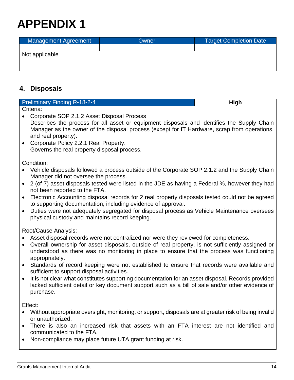| Management Agreement | Owner | <b>Target Completion Date</b> |
|----------------------|-------|-------------------------------|
|                      |       |                               |
| Not applicable       |       |                               |
|                      |       |                               |
|                      |       |                               |

### **4. Disposals**

| <b>Preliminary Finding R-18-2-4</b> | High |
|-------------------------------------|------|
| Criteria:                           |      |

- Corporate SOP 2.1.2 Asset Disposal Process Describes the process for all asset or equipment disposals and identifies the Supply Chain Manager as the owner of the disposal process (except for IT Hardware, scrap from operations, and real property).
- Corporate Policy 2.2.1 Real Property. Governs the real property disposal process.

Condition:

- Vehicle disposals followed a process outside of the Corporate SOP 2.1.2 and the Supply Chain Manager did not oversee the process.
- 2 (of 7) asset disposals tested were listed in the JDE as having a Federal %, however they had not been reported to the FTA.
- Electronic Accounting disposal records for 2 real property disposals tested could not be agreed to supporting documentation, including evidence of approval.
- Duties were not adequately segregated for disposal process as Vehicle Maintenance oversees physical custody and maintains record keeping.

Root/Cause Analysis:

- Asset disposal records were not centralized nor were they reviewed for completeness.
- Overall ownership for asset disposals, outside of real property, is not sufficiently assigned or understood as there was no monitoring in place to ensure that the process was functioning appropriately.
- Standards of record keeping were not established to ensure that records were available and sufficient to support disposal activities.
- It is not clear what constitutes supporting documentation for an asset disposal. Records provided lacked sufficient detail or key document support such as a bill of sale and/or other evidence of purchase.

Effect:

- Without appropriate oversight, monitoring, or support, disposals are at greater risk of being invalid or unauthorized.
- There is also an increased risk that assets with an FTA interest are not identified and communicated to the FTA.
- Non-compliance may place future UTA grant funding at risk.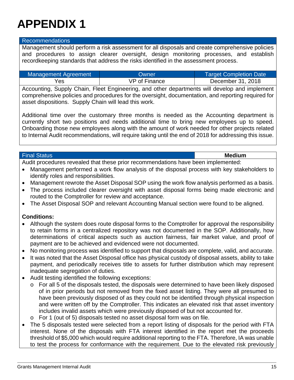#### Recommendations

Management should perform a risk assessment for all disposals and create comprehensive policies and procedures to assign clearer oversight, design monitoring processes, and establish recordkeeping standards that address the risks identified in the assessment process.

| Management Agreement | Owner:        | <b>Target Completion Date</b> |
|----------------------|---------------|-------------------------------|
| Yes                  | VP of Finance | December 31, 2018             |

Accounting, Supply Chain, Fleet Engineering, and other departments will develop and implement comprehensive policies and procedures for the oversight, documentation, and reporting required for asset dispositions. Supply Chain will lead this work.

Additional time over the customary three months is needed as the Accounting department is currently short two positions and needs additional time to bring new employees up to speed. Onboarding those new employees along with the amount of work needed for other projects related to Internal Audit recommendations, will require taking until the end of 2018 for addressing this issue.

#### Final Status **Medium**

Audit procedures revealed that these prior recommendations have been implemented:

- Management performed a work flow analysis of the disposal process with key stakeholders to identify roles and responsibilities.
- Management rewrote the Asset Disposal SOP using the work flow analysis performed as a basis.
- The process included clearer oversight with asset disposal forms being made electronic and routed to the Comptroller for review and acceptance.
- The Asset Disposal SOP and relevant Accounting Manual section were found to be aligned.

### **Conditions:**

- Although the system does route disposal forms to the Comptroller for approval the responsibility to retain forms in a centralized repository was not documented in the SOP. Additionally, how determinations of critical aspects such as auction fairness, fair market value, and proof of payment are to be achieved and evidenced were not documented.
- No monitoring process was identified to support that disposals are complete, valid, and accurate.
- It was noted that the Asset Disposal office has physical custody of disposal assets, ability to take payment, and periodically receives title to assets for further distribution which may represent inadequate segregation of duties.
- Audit testing identified the following exceptions:
	- o For all 5 of the disposals tested, the disposals were determined to have been likely disposed of in prior periods but not removed from the fixed asset listing. They were all presumed to have been previously disposed of as they could not be identified through physical inspection and were written off by the Comptroller. This indicates an elevated risk that asset inventory includes invalid assets which were previously disposed of but not accounted for.
	- o For 1 (out of 5) disposals tested no asset disposal form was on file.
- The 5 disposals tested were selected from a report listing of disposals for the period with FTA interest. None of the disposals with FTA interest identified in the report met the proceeds threshold of \$5,000 which would require additional reporting to the FTA. Therefore, IA was unable to test the process for conformance with the requirement. Due to the elevated risk previously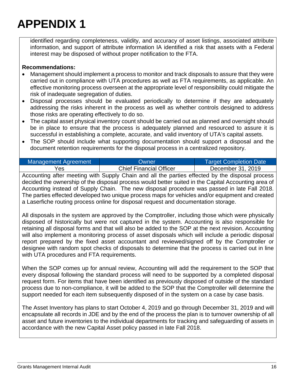identified regarding completeness, validity, and accuracy of asset listings, associated attribute information, and support of attribute information IA identified a risk that assets with a Federal interest may be disposed of without proper notification to the FTA.

### **Recommendations:**

- Management should implement a process to monitor and track disposals to assure that they were carried out in compliance with UTA procedures as well as FTA requirements, as applicable. An effective monitoring process overseen at the appropriate level of responsibility could mitigate the risk of inadequate segregation of duties.
- Disposal processes should be evaluated periodically to determine if they are adequately addressing the risks inherent in the process as well as whether controls designed to address those risks are operating effectively to do so.
- The capital asset physical inventory count should be carried out as planned and oversight should be in place to ensure that the process is adequately planned and resourced to assure it is successful in establishing a complete, accurate, and valid inventory of UTA's capital assets.
- The SOP should include what supporting documentation should support a disposal and the document retention requirements for the disposal process in a centralized repository.

| Management Agreement | Owner                          | <b>Target Completion Date</b> |  |
|----------------------|--------------------------------|-------------------------------|--|
| Yes                  | <b>Chief Financial Officer</b> | December 31, 2019             |  |

Accounting after meeting with Supply Chain and all the parties effected by the disposal process decided the ownership of the disposal process would better suited in the Capital Accounting area of Accounting instead of Supply Chain. The new disposal procedure was passed in late Fall 2018. The parties effected developed two unique process maps for vehicles and/or equipment and created a Laserfiche routing process online for disposal request and documentation storage.

All disposals in the system are approved by the Comptroller, including those which were physically disposed of historically but were not captured in the system. Accounting is also responsible for retaining all disposal forms and that will also be added to the SOP at the next revision. Accounting will also implement a monitoring process of asset disposals which will include a periodic disposal report prepared by the fixed asset accountant and reviewed/signed off by the Comptroller or designee with random spot checks of disposals to determine that the process is carried out in line with UTA procedures and FTA requirements.

When the SOP comes up for annual review, Accounting will add the requirement to the SOP that every disposal following the standard process will need to be supported by a completed disposal request form. For items that have been identified as previously disposed of outside of the standard process due to non-compliance, it will be added to the SOP that the Comptroller will determine the support needed for each item subsequently disposed of in the system on a case by case basis.

The Asset Inventory has plans to start October 4, 2019 and go through December 31, 2019 and will encapsulate all records in JDE and by the end of the process the plan is to turnover ownership of all asset and future inventories to the individual departments for tracking and safeguarding of assets in accordance with the new Capital Asset policy passed in late Fall 2018.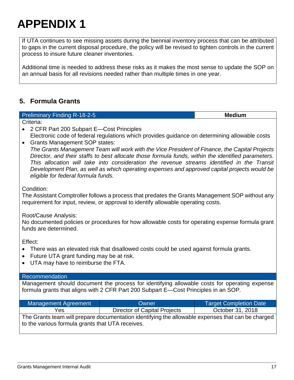If UTA continues to see missing assets during the biennial inventory process that can be attributed to gaps in the current disposal procedure, the policy will be revised to tighten controls in the current process to insure future cleaner inventories.

Additional time is needed to address these risks as it makes the most sense to update the SOP on an annual basis for all revisions needed rather than multiple times in one year.

### **5. Formula Grants**

### Preliminary Finding R-18-2-5 **Medium**

Criteria:

- 2 CFR Part 200 Subpart E—Cost Principles Electronic code of federal regulations which provides guidance on determining allowable costs
- Grants Management SOP states:

*The Grants Management Team will work with the Vice President of Finance, the Capital Projects Director, and their staffs to best allocate those formula funds, within the identified parameters. This allocation will take into consideration the revenue streams identified in the Transit Development Plan, as well as which operating expenses and approved capital projects would be eligible for federal formula funds.* 

#### Condition:

The Assistant Comptroller follows a process that predates the Grants Management SOP without any requirement for input, review, or approval to identify allowable operating costs.

### Root/Cause Analysis:

No documented policies or procedures for how allowable costs for operating expense formula grant funds are determined.

Effect:

- There was an elevated risk that disallowed costs could be used against formula grants.
- Future UTA grant funding may be at risk.
- UTA may have to reimburse the FTA.

### Recommendation

Management should document the process for identifying allowable costs for operating expense formula grants that aligns with 2 CFR Part 200 Subpart E—Cost Principles in an SOP.

| <b>Management Agreement</b>                                                                                                                           | Owner                        | <b>Target Completion Date</b> |  |
|-------------------------------------------------------------------------------------------------------------------------------------------------------|------------------------------|-------------------------------|--|
| Yes.                                                                                                                                                  | Director of Capital Projects | October 31, 2018              |  |
| The Grants team will prepare documentation identifying the allowable expenses that can be charged<br>to the various formula grants that UTA receives. |                              |                               |  |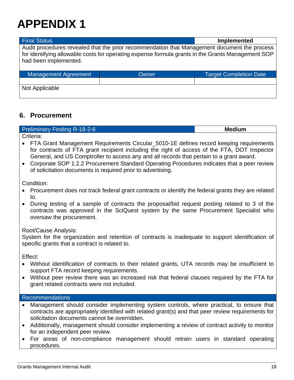### Final Status **Implemented**  Audit procedures revealed that the prior recommendation that Management document the process for identifying allowable costs for operating expense formula grants in the Grants Management SOP had been implemented. Management Agreement **National Completion Completion Completion Date** Not Applicable

### **6. Procurement**

Preliminary Finding R-18-2-6 **Medium** 

Criteria:

- FTA Grant Management Requirements Circular\_5010-1E defines record keeping requirements for contracts of FTA grant recipient including the right of access of the FTA, DOT Inspector General, and US Comptroller to access any and all records that pertain to a grant award.
- Corporate SOP 1.2.2 Procurement Standard Operating Procedures indicates that a peer review of solicitation documents is required prior to advertising.

Condition:

- Procurement does not track federal grant contracts or identify the federal grants they are related to.
- During testing of a sample of contracts the proposal/bid request posting related to 3 of the contracts was approved in the SciQuest system by the same Procurement Specialist who oversaw the procurement.

### Root/Cause Analysis:

System for the organization and retention of contracts is inadequate to support identification of specific grants that a contract is related to.

Effect:

- Without identification of contracts to their related grants, UTA records may be insufficient to support FTA record keeping requirements.
- Without peer review there was an increased risk that federal clauses required by the FTA for grant related contracts were not included.

### Recommendations

- Management should consider implementing system controls, where practical, to ensure that contracts are appropriately identified with related grant(s) and that peer review requirements for solicitation documents cannot be overridden.
- Additionally, management should consider implementing a review of contract activity to monitor for an independent peer review.
- For areas of non-compliance management should retrain users in standard operating procedures.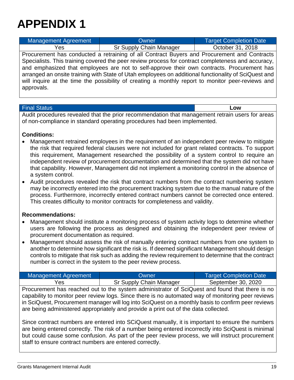| Management Agreement                                                                                 | Owner                                                                                             | <b>Target Completion Date</b> |  |
|------------------------------------------------------------------------------------------------------|---------------------------------------------------------------------------------------------------|-------------------------------|--|
| Yes.                                                                                                 | Sr Supply Chain Manager                                                                           | October 31, 2018              |  |
| Procurement has conducted a retraining of all Contract Buyers and Procurement and Contracts          |                                                                                                   |                               |  |
| Specialists. This training covered the peer review process for contract completeness and accuracy,   |                                                                                                   |                               |  |
| and emphasized that employees are not to self-approve their own contracts. Procurement has           |                                                                                                   |                               |  |
| arranged an onsite training with State of Utah employees on additional functionality of SciQuest and |                                                                                                   |                               |  |
|                                                                                                      | will inquire at the time the possibility of creating a monthly report to monitor peer-reviews and |                               |  |
| approvals.                                                                                           |                                                                                                   |                               |  |

#### Final Status **Low**

Audit procedures revealed that the prior recommendation that management retrain users for areas of non-compliance in standard operating procedures had been implemented.

#### **Conditions:**

- Management retrained employees in the requirement of an independent peer review to mitigate the risk that required federal clauses were not included for grant related contracts. To support this requirement, Management researched the possibility of a system control to require an independent review of procurement documentation and determined that the system did not have that capability. However, Management did not implement a monitoring control in the absence of a system control.
- Audit procedures revealed the risk that contract numbers from the contract numbering system may be incorrectly entered into the procurement tracking system due to the manual nature of the process. Furthermore, incorrectly entered contract numbers cannot be corrected once entered. This creates difficulty to monitor contracts for completeness and validity.

#### **Recommendations:**

- Management should institute a monitoring process of system activity logs to determine whether users are following the process as designed and obtaining the independent peer review of procurement documentation as required.
- Management should assess the risk of manually entering contract numbers from one system to another to determine how significant the risk is. If deemed significant Management should design controls to mitigate that risk such as adding the review requirement to determine that the contract number is correct in the system to the peer review process.

| Management Agreement | Owner                   | <b>Target Completion Date</b> |  |
|----------------------|-------------------------|-------------------------------|--|
| Yes                  | Sr Supply Chain Manager | September 30, 2020            |  |

Procurement has reached out to the system administrator of SciQuest and found that there is no capability to monitor peer review logs. Since there is no automated way of monitoring peer reviews in SciQuest, Procurement manager will log into SciQuest on a monthly basis to confirm peer reviews are being administered appropriately and provide a print out of the data collected.

Since contract numbers are entered into SCiQuest manually, it is important to ensure the numbers are being entered correctly. The risk of a number being entered incorrectly into SciQuest is minimal but could cause some confusion. As part of the peer review process, we will instruct procurement staff to ensure contract numbers are entered correctly.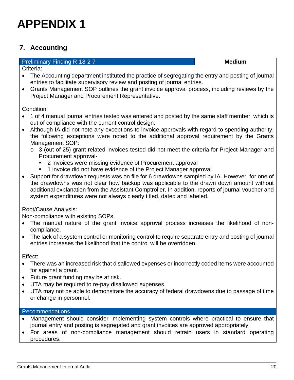### **7. Accounting**

#### **Preliminary Finding R-18-2-7 Medium Medium Medium Medium Medium**

Criteria:

- The Accounting department instituted the practice of segregating the entry and posting of journal entries to facilitate supervisory review and posting of journal entries.
- Grants Management SOP outlines the grant invoice approval process, including reviews by the Project Manager and Procurement Representative.

Condition:

- 1 of 4 manual journal entries tested was entered and posted by the same staff member, which is out of compliance with the current control design.
- Although IA did not note any exceptions to invoice approvals with regard to spending authority, the following exceptions were noted to the additional approval requirement by the Grants Management SOP:
	- o 3 (out of 25) grant related invoices tested did not meet the criteria for Project Manager and Procurement approval-
		- 2 invoices were missing evidence of Procurement approval
		- 1 invoice did not have evidence of the Project Manager approval
- Support for drawdown requests was on file for 6 drawdowns sampled by IA. However, for one of the drawdowns was not clear how backup was applicable to the drawn down amount without additional explanation from the Assistant Comptroller. In addition, reports of journal voucher and system expenditures were not always clearly titled, dated and labeled.

### Root/Cause Analysis:

Non-compliance with existing SOPs.

- The manual nature of the grant invoice approval process increases the likelihood of noncompliance.
- The lack of a system control or monitoring control to require separate entry and posting of journal entries increases the likelihood that the control will be overridden.

Effect:

- There was an increased risk that disallowed expenses or incorrectly coded items were accounted for against a grant.
- Future grant funding may be at risk.
- UTA may be required to re-pay disallowed expenses.
- UTA may not be able to demonstrate the accuracy of federal drawdowns due to passage of time or change in personnel.

### Recommendations

- Management should consider implementing system controls where practical to ensure that journal entry and posting is segregated and grant invoices are approved appropriately.
- For areas of non-compliance management should retrain users in standard operating procedures.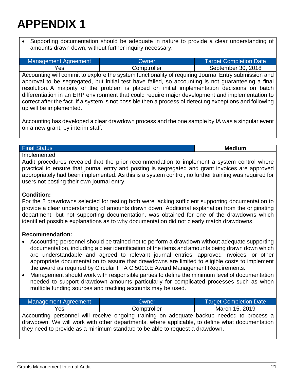Supporting documentation should be adequate in nature to provide a clear understanding of amounts drawn down, without further inquiry necessary.

| Management Agreement | Owner       | Target Completion Date |
|----------------------|-------------|------------------------|
| Yes                  | Comptroller | September 30, 2018     |

Accounting will commit to explore the system functionality of requiring Journal Entry submission and approval to be segregated, but initial test have failed, so accounting is not guaranteeing a final resolution. A majority of the problem is placed on initial implementation decisions on batch differentiation in an ERP environment that could require major development and implementation to correct after the fact. If a system is not possible then a process of detecting exceptions and following up will be implemented.

Accounting has developed a clear drawdown process and the one sample by IA was a singular event on a new grant, by interim staff.

#### Final Status **Medium**

Implemented

Audit procedures revealed that the prior recommendation to implement a system control where practical to ensure that journal entry and posting is segregated and grant invoices are approved appropriately had been implemented. As this is a system control, no further training was required for users not posting their own journal entry.

### **Condition:**

For the 2 drawdowns selected for testing both were lacking sufficient supporting documentation to provide a clear understanding of amounts drawn down. Additional explanation from the originating department, but not supporting documentation, was obtained for one of the drawdowns which identified possible explanations as to why documentation did not clearly match drawdowns.

### **Recommendation:**

- Accounting personnel should be trained not to perform a drawdown without adequate supporting documentation, including a clear identification of the items and amounts being drawn down which are understandable and agreed to relevant journal entries, approved invoices, or other appropriate documentation to assure that drawdowns are limited to eligible costs to implement the award as required by Circular FTA C 5010.E Award Management Requirements.
- Management should work with responsible parties to define the minimum level of documentation needed to support drawdown amounts particularly for complicated processes such as when multiple funding sources and tracking accounts may be used.

| Management Agreement                                                                                                                                                                                                                                                       | Owner       | <b>Target Completion Date</b> |  |  |
|----------------------------------------------------------------------------------------------------------------------------------------------------------------------------------------------------------------------------------------------------------------------------|-------------|-------------------------------|--|--|
| Yes                                                                                                                                                                                                                                                                        | Comptroller | March 15, 2019                |  |  |
| Accounting personnel will receive ongoing training on adequate backup needed to process a<br>drawdown. We will work with other departments, where applicable, to define what documentation<br>they need to provide as a minimum standard to be able to request a drawdown. |             |                               |  |  |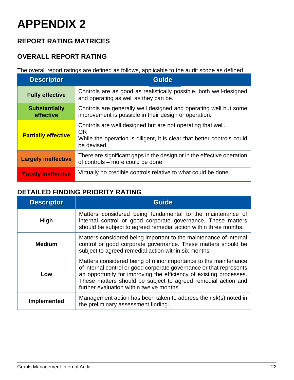### **REPORT RATING MATRICES**

### **OVERALL REPORT RATING**

The overall report ratings are defined as follows, applicable to the audit scope as defined

| <b>Descriptor</b>                 | <b>Guide</b>                                                                                                                                                       |
|-----------------------------------|--------------------------------------------------------------------------------------------------------------------------------------------------------------------|
| <b>Fully effective</b>            | Controls are as good as realistically possible, both well-designed<br>and operating as well as they can be.                                                        |
| <b>Substantially</b><br>effective | Controls are generally well designed and operating well but some<br>improvement is possible in their design or operation.                                          |
| <b>Partially effective</b>        | Controls are well designed but are not operating that well.<br><b>OR</b><br>While the operation is diligent, it is clear that better controls could<br>be devised. |
| <b>Largely ineffective</b>        | There are significant gaps in the design or in the effective operation<br>of controls – more could be done.                                                        |
| <b>Totally ineffective</b>        | Virtually no credible controls relative to what could be done.                                                                                                     |

### **DETAILED FINDING PRIORITY RATING**

| <b>Descriptor</b>  | <b>Guide</b>                                                                                                                                                                                                                                                                                                              |
|--------------------|---------------------------------------------------------------------------------------------------------------------------------------------------------------------------------------------------------------------------------------------------------------------------------------------------------------------------|
| <b>High</b>        | Matters considered being fundamental to the maintenance of<br>internal control or good corporate governance. These matters<br>should be subject to agreed remedial action within three months.                                                                                                                            |
| <b>Medium</b>      | Matters considered being important to the maintenance of internal<br>control or good corporate governance. These matters should be<br>subject to agreed remedial action within six months.                                                                                                                                |
| Low                | Matters considered being of minor importance to the maintenance<br>of internal control or good corporate governance or that represents<br>an opportunity for improving the efficiency of existing processes.<br>These matters should be subject to agreed remedial action and<br>further evaluation within twelve months. |
| <b>Implemented</b> | Management action has been taken to address the risk(s) noted in<br>the preliminary assessment finding.                                                                                                                                                                                                                   |